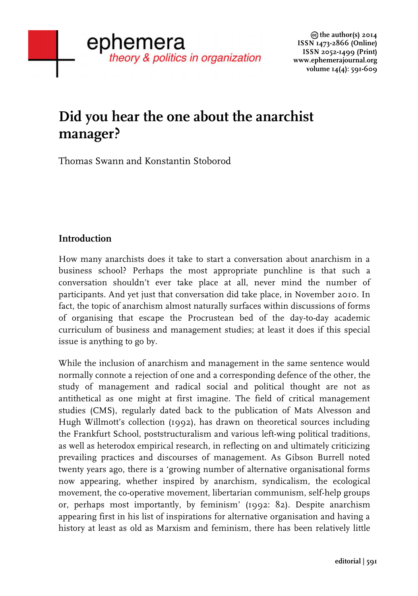# **Did you hear the one about the anarchist manager?**

Thomas Swann and Konstantin Stoborod

# **Introduction**

How many anarchists does it take to start a conversation about anarchism in a business school? Perhaps the most appropriate punchline is that such a conversation shouldn't ever take place at all, never mind the number of participants. And yet just that conversation did take place, in November 2010. In fact, the topic of anarchism almost naturally surfaces within discussions of forms of organising that escape the Procrustean bed of the day-to-day academic curriculum of business and management studies; at least it does if this special issue is anything to go by.

While the inclusion of anarchism and management in the same sentence would normally connote a rejection of one and a corresponding defence of the other, the study of management and radical social and political thought are not as antithetical as one might at first imagine. The field of critical management studies (CMS), regularly dated back to the publication of Mats Alvesson and Hugh Willmott's collection (1992), has drawn on theoretical sources including the Frankfurt School, poststructuralism and various left-wing political traditions, as well as heterodox empirical research, in reflecting on and ultimately criticizing prevailing practices and discourses of management. As Gibson Burrell noted twenty years ago, there is a 'growing number of alternative organisational forms now appearing, whether inspired by anarchism, syndicalism, the ecological movement, the co-operative movement, libertarian communism, self-help groups or, perhaps most importantly, by feminism' (1992: 82). Despite anarchism appearing first in his list of inspirations for alternative organisation and having a history at least as old as Marxism and feminism, there has been relatively little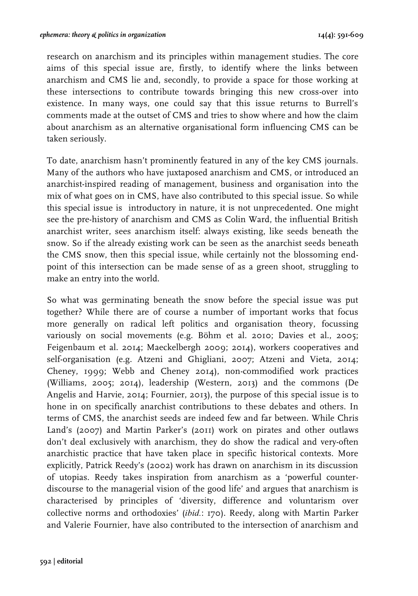research on anarchism and its principles within management studies. The core aims of this special issue are, firstly, to identify where the links between anarchism and CMS lie and, secondly, to provide a space for those working at these intersections to contribute towards bringing this new cross-over into existence. In many ways, one could say that this issue returns to Burrell's comments made at the outset of CMS and tries to show where and how the claim about anarchism as an alternative organisational form influencing CMS can be taken seriously.

To date, anarchism hasn't prominently featured in any of the key CMS journals. Many of the authors who have juxtaposed anarchism and CMS, or introduced an anarchist-inspired reading of management, business and organisation into the mix of what goes on in CMS, have also contributed to this special issue. So while this special issue is introductory in nature, it is not unprecedented. One might see the pre-history of anarchism and CMS as Colin Ward, the influential British anarchist writer, sees anarchism itself: always existing, like seeds beneath the snow. So if the already existing work can be seen as the anarchist seeds beneath the CMS snow, then this special issue, while certainly not the blossoming endpoint of this intersection can be made sense of as a green shoot, struggling to make an entry into the world.

So what was germinating beneath the snow before the special issue was put together? While there are of course a number of important works that focus more generally on radical left politics and organisation theory, focussing variously on social movements (e.g. Böhm et al. 2010; Davies et al., 2005; Feigenbaum et al. 2014; Maeckelbergh 2009; 2014), workers cooperatives and self-organisation (e.g. Atzeni and Ghigliani, 2007; Atzeni and Vieta, 2014; Cheney, 1999; Webb and Cheney 2014), non-commodified work practices (Williams, 2005; 2014), leadership (Western, 2013) and the commons (De Angelis and Harvie, 2014; Fournier, 2013), the purpose of this special issue is to hone in on specifically anarchist contributions to these debates and others. In terms of CMS, the anarchist seeds are indeed few and far between. While Chris Land's (2007) and Martin Parker's (2011) work on pirates and other outlaws don't deal exclusively with anarchism, they do show the radical and very-often anarchistic practice that have taken place in specific historical contexts. More explicitly, Patrick Reedy's (2002) work has drawn on anarchism in its discussion of utopias. Reedy takes inspiration from anarchism as a 'powerful counterdiscourse to the managerial vision of the good life' and argues that anarchism is characterised by principles of 'diversity, difference and voluntarism over collective norms and orthodoxies' (*ibid.*: 170). Reedy, along with Martin Parker and Valerie Fournier, have also contributed to the intersection of anarchism and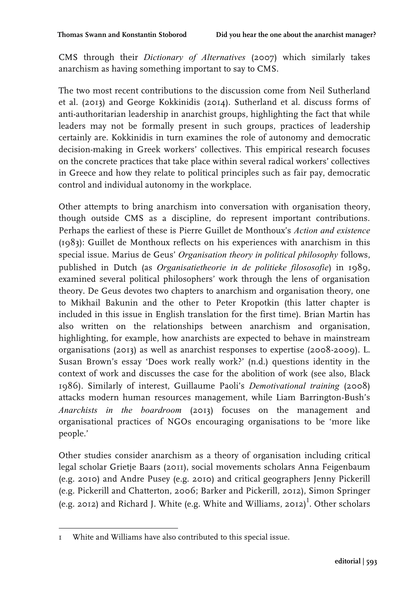CMS through their *Dictionary of Alternatives* (2007) which similarly takes anarchism as having something important to say to CMS.

The two most recent contributions to the discussion come from Neil Sutherland et al. (2013) and George Kokkinidis (2014). Sutherland et al. discuss forms of anti-authoritarian leadership in anarchist groups, highlighting the fact that while leaders may not be formally present in such groups, practices of leadership certainly are. Kokkinidis in turn examines the role of autonomy and democratic decision-making in Greek workers' collectives. This empirical research focuses on the concrete practices that take place within several radical workers' collectives in Greece and how they relate to political principles such as fair pay, democratic control and individual autonomy in the workplace.

Other attempts to bring anarchism into conversation with organisation theory, though outside CMS as a discipline, do represent important contributions. Perhaps the earliest of these is Pierre Guillet de Monthoux's *Action and existence* (1983): Guillet de Monthoux reflects on his experiences with anarchism in this special issue. Marius de Geus' *Organisation theory in political philosophy* follows, published in Dutch (as *Organisatietheorie in de politieke filososofie*) in 1989, examined several political philosophers' work through the lens of organisation theory. De Geus devotes two chapters to anarchism and organisation theory, one to Mikhail Bakunin and the other to Peter Kropotkin (this latter chapter is included in this issue in English translation for the first time). Brian Martin has also written on the relationships between anarchism and organisation, highlighting, for example, how anarchists are expected to behave in mainstream organisations (2013) as well as anarchist responses to expertise (2008-2009). L. Susan Brown's essay 'Does work really work?' (n.d.) questions identity in the context of work and discusses the case for the abolition of work (see also, Black 1986). Similarly of interest, Guillaume Paoli's *Demotivational training* (2008) attacks modern human resources management, while Liam Barrington-Bush's *Anarchists in the boardroom* (2013) focuses on the management and organisational practices of NGOs encouraging organisations to be 'more like people.'

Other studies consider anarchism as a theory of organisation including critical legal scholar Grietje Baars (2011), social movements scholars Anna Feigenbaum (e.g. 2010) and Andre Pusey (e.g. 2010) and critical geographers Jenny Pickerill (e.g. Pickerill and Chatterton, 2006; Barker and Pickerill, 2012), Simon Springer (e.g. 2012) and Richard J. White (e.g. White and Williams, 2012)<sup>1</sup>. Other scholars

 1 White and Williams have also contributed to this special issue.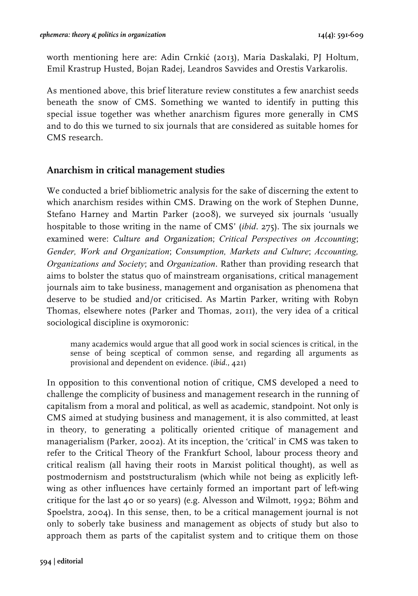worth mentioning here are: Adin Crnkić (2013), Maria Daskalaki, PJ Holtum, Emil Krastrup Husted, Bojan Radej, Leandros Savvides and Orestis Varkarolis.

As mentioned above, this brief literature review constitutes a few anarchist seeds beneath the snow of CMS. Something we wanted to identify in putting this special issue together was whether anarchism figures more generally in CMS and to do this we turned to six journals that are considered as suitable homes for CMS research.

## **Anarchism in critical management studies**

We conducted a brief bibliometric analysis for the sake of discerning the extent to which anarchism resides within CMS. Drawing on the work of Stephen Dunne, Stefano Harney and Martin Parker (2008), we surveyed six journals 'usually hospitable to those writing in the name of CMS' (*ibid*. 275). The six journals we examined were: *Culture and Organization*; *Critical Perspectives on Accounting*; *Gender, Work and Organization*; *Consumption, Markets and Culture*; *Accounting, Organizations and Society*; and *Organization*. Rather than providing research that aims to bolster the status quo of mainstream organisations, critical management journals aim to take business, management and organisation as phenomena that deserve to be studied and/or criticised. As Martin Parker, writing with Robyn Thomas, elsewhere notes (Parker and Thomas, 2011), the very idea of a critical sociological discipline is oxymoronic:

many academics would argue that all good work in social sciences is critical, in the sense of being sceptical of common sense, and regarding all arguments as provisional and dependent on evidence. (*ibid*., 421)

In opposition to this conventional notion of critique, CMS developed a need to challenge the complicity of business and management research in the running of capitalism from a moral and political, as well as academic, standpoint. Not only is CMS aimed at studying business and management, it is also committed, at least in theory, to generating a politically oriented critique of management and managerialism (Parker, 2002). At its inception, the 'critical' in CMS was taken to refer to the Critical Theory of the Frankfurt School, labour process theory and critical realism (all having their roots in Marxist political thought), as well as postmodernism and poststructuralism (which while not being as explicitly leftwing as other influences have certainly formed an important part of left-wing critique for the last 40 or so years) (e.g. Alvesson and Wilmott, 1992; Böhm and Spoelstra, 2004). In this sense, then, to be a critical management journal is not only to soberly take business and management as objects of study but also to approach them as parts of the capitalist system and to critique them on those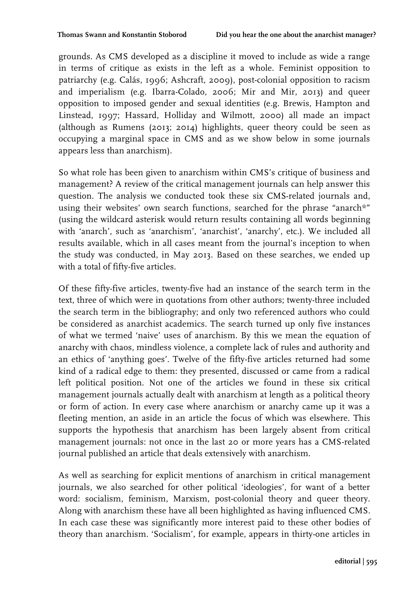grounds. As CMS developed as a discipline it moved to include as wide a range in terms of critique as exists in the left as a whole. Feminist opposition to patriarchy (e.g. Calás, 1996; Ashcraft, 2009), post-colonial opposition to racism and imperialism (e.g. Ibarra-Colado, 2006; Mir and Mir, 2013) and queer opposition to imposed gender and sexual identities (e.g. Brewis, Hampton and Linstead, 1997; Hassard, Holliday and Wilmott, 2000) all made an impact (although as Rumens (2013; 2014) highlights, queer theory could be seen as occupying a marginal space in CMS and as we show below in some journals appears less than anarchism).

So what role has been given to anarchism within CMS's critique of business and management? A review of the critical management journals can help answer this question. The analysis we conducted took these six CMS-related journals and, using their websites' own search functions, searched for the phrase "anarch\*" (using the wildcard asterisk would return results containing all words beginning with 'anarch', such as 'anarchism', 'anarchist', 'anarchy', etc.). We included all results available, which in all cases meant from the journal's inception to when the study was conducted, in May 2013. Based on these searches, we ended up with a total of fifty-five articles.

Of these fifty-five articles, twenty-five had an instance of the search term in the text, three of which were in quotations from other authors; twenty-three included the search term in the bibliography; and only two referenced authors who could be considered as anarchist academics. The search turned up only five instances of what we termed 'naive' uses of anarchism. By this we mean the equation of anarchy with chaos, mindless violence, a complete lack of rules and authority and an ethics of 'anything goes'. Twelve of the fifty-five articles returned had some kind of a radical edge to them: they presented, discussed or came from a radical left political position. Not one of the articles we found in these six critical management journals actually dealt with anarchism at length as a political theory or form of action. In every case where anarchism or anarchy came up it was a fleeting mention, an aside in an article the focus of which was elsewhere. This supports the hypothesis that anarchism has been largely absent from critical management journals: not once in the last 20 or more years has a CMS-related journal published an article that deals extensively with anarchism.

As well as searching for explicit mentions of anarchism in critical management journals, we also searched for other political 'ideologies', for want of a better word: socialism, feminism, Marxism, post-colonial theory and queer theory. Along with anarchism these have all been highlighted as having influenced CMS. In each case these was significantly more interest paid to these other bodies of theory than anarchism. 'Socialism', for example, appears in thirty-one articles in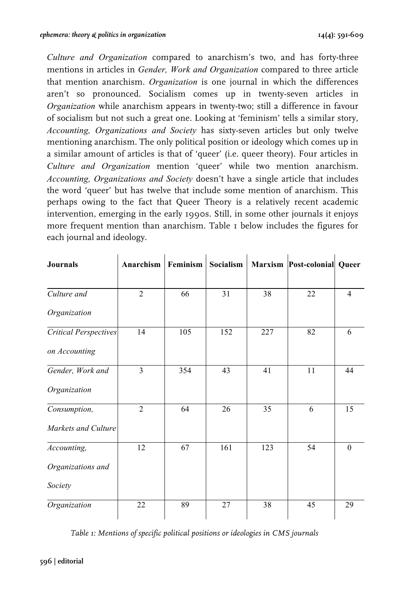*Culture and Organization* compared to anarchism's two, and has forty-three mentions in articles in *Gender, Work and Organization* compared to three article that mention anarchism. *Organization* is one journal in which the differences aren't so pronounced. Socialism comes up in twenty-seven articles in *Organization* while anarchism appears in twenty-two; still a difference in favour of socialism but not such a great one. Looking at 'feminism' tells a similar story, *Accounting, Organizations and Society* has sixty-seven articles but only twelve mentioning anarchism. The only political position or ideology which comes up in a similar amount of articles is that of 'queer' (i.e. queer theory). Four articles in *Culture and Organization* mention 'queer' while two mention anarchism. *Accounting, Organizations and Society* doesn't have a single article that includes the word 'queer' but has twelve that include some mention of anarchism. This perhaps owing to the fact that Queer Theory is a relatively recent academic intervention, emerging in the early 1990s. Still, in some other journals it enjoys more frequent mention than anarchism. Table 1 below includes the figures for each journal and ideology.

| <b>Journals</b>              | Anarchism   Feminism |     | Socialism |     | Marxism Post-colonial Queer |                |
|------------------------------|----------------------|-----|-----------|-----|-----------------------------|----------------|
|                              |                      |     |           |     |                             |                |
| Culture and                  | $\overline{2}$       | 66  | 31        | 38  | 22                          | $\overline{4}$ |
| Organization                 |                      |     |           |     |                             |                |
| <b>Critical Perspectives</b> | 14                   | 105 | 152       | 227 | 82                          | 6              |
| on Accounting                |                      |     |           |     |                             |                |
| Gender, Work and             | $\overline{3}$       | 354 | 43        | 41  | 11                          | 44             |
| Organization                 |                      |     |           |     |                             |                |
| Consumption,                 | $\overline{2}$       | 64  | 26        | 35  | 6                           | 15             |
| Markets and Culture          |                      |     |           |     |                             |                |
| Accounting,                  | 12                   | 67  | 161       | 123 | 54                          | $\theta$       |
| Organizations and            |                      |     |           |     |                             |                |
| Society                      |                      |     |           |     |                             |                |
| Organization                 | 22                   | 89  | 27        | 38  | 45                          | 29             |

*Table 1: Mentions of specific political positions or ideologies in CMS journals*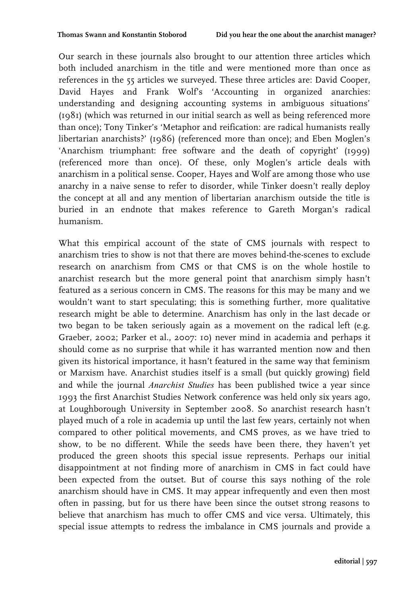Our search in these journals also brought to our attention three articles which both included anarchism in the title and were mentioned more than once as references in the 55 articles we surveyed. These three articles are: David Cooper, David Hayes and Frank Wolf's 'Accounting in organized anarchies: understanding and designing accounting systems in ambiguous situations' (1981) (which was returned in our initial search as well as being referenced more than once); Tony Tinker's 'Metaphor and reification: are radical humanists really libertarian anarchists?' (1986) (referenced more than once); and Eben Moglen's 'Anarchism triumphant: free software and the death of copyright' (1999) (referenced more than once). Of these, only Moglen's article deals with anarchism in a political sense. Cooper, Hayes and Wolf are among those who use anarchy in a naive sense to refer to disorder, while Tinker doesn't really deploy the concept at all and any mention of libertarian anarchism outside the title is buried in an endnote that makes reference to Gareth Morgan's radical humanism.

What this empirical account of the state of CMS journals with respect to anarchism tries to show is not that there are moves behind-the-scenes to exclude research on anarchism from CMS or that CMS is on the whole hostile to anarchist research but the more general point that anarchism simply hasn't featured as a serious concern in CMS. The reasons for this may be many and we wouldn't want to start speculating; this is something further, more qualitative research might be able to determine. Anarchism has only in the last decade or two began to be taken seriously again as a movement on the radical left (e.g. Graeber, 2002; Parker et al., 2007: 10) never mind in academia and perhaps it should come as no surprise that while it has warranted mention now and then given its historical importance, it hasn't featured in the same way that feminism or Marxism have. Anarchist studies itself is a small (but quickly growing) field and while the journal *Anarchist Studies* has been published twice a year since 1993 the first Anarchist Studies Network conference was held only six years ago, at Loughborough University in September 2008. So anarchist research hasn't played much of a role in academia up until the last few years, certainly not when compared to other political movements, and CMS proves, as we have tried to show, to be no different. While the seeds have been there, they haven't yet produced the green shoots this special issue represents. Perhaps our initial disappointment at not finding more of anarchism in CMS in fact could have been expected from the outset. But of course this says nothing of the role anarchism should have in CMS. It may appear infrequently and even then most often in passing, but for us there have been since the outset strong reasons to believe that anarchism has much to offer CMS and vice versa. Ultimately, this special issue attempts to redress the imbalance in CMS journals and provide a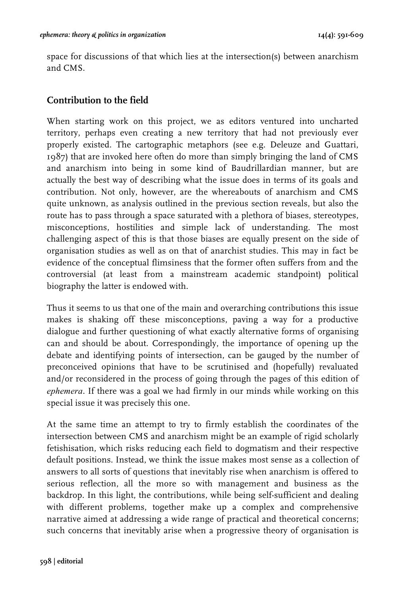space for discussions of that which lies at the intersection(s) between anarchism and CMS.

# **Contribution to the field**

When starting work on this project, we as editors ventured into uncharted territory, perhaps even creating a new territory that had not previously ever properly existed. The cartographic metaphors (see e.g. Deleuze and Guattari, 1987) that are invoked here often do more than simply bringing the land of CMS and anarchism into being in some kind of Baudrillardian manner, but are actually the best way of describing what the issue does in terms of its goals and contribution. Not only, however, are the whereabouts of anarchism and CMS quite unknown, as analysis outlined in the previous section reveals, but also the route has to pass through a space saturated with a plethora of biases, stereotypes, misconceptions, hostilities and simple lack of understanding. The most challenging aspect of this is that those biases are equally present on the side of organisation studies as well as on that of anarchist studies. This may in fact be evidence of the conceptual flimsiness that the former often suffers from and the controversial (at least from a mainstream academic standpoint) political biography the latter is endowed with.

Thus it seems to us that one of the main and overarching contributions this issue makes is shaking off these misconceptions, paving a way for a productive dialogue and further questioning of what exactly alternative forms of organising can and should be about. Correspondingly, the importance of opening up the debate and identifying points of intersection, can be gauged by the number of preconceived opinions that have to be scrutinised and (hopefully) revaluated and/or reconsidered in the process of going through the pages of this edition of *ephemera*. If there was a goal we had firmly in our minds while working on this special issue it was precisely this one.

At the same time an attempt to try to firmly establish the coordinates of the intersection between CMS and anarchism might be an example of rigid scholarly fetishisation, which risks reducing each field to dogmatism and their respective default positions. Instead, we think the issue makes most sense as a collection of answers to all sorts of questions that inevitably rise when anarchism is offered to serious reflection, all the more so with management and business as the backdrop. In this light, the contributions, while being self-sufficient and dealing with different problems, together make up a complex and comprehensive narrative aimed at addressing a wide range of practical and theoretical concerns; such concerns that inevitably arise when a progressive theory of organisation is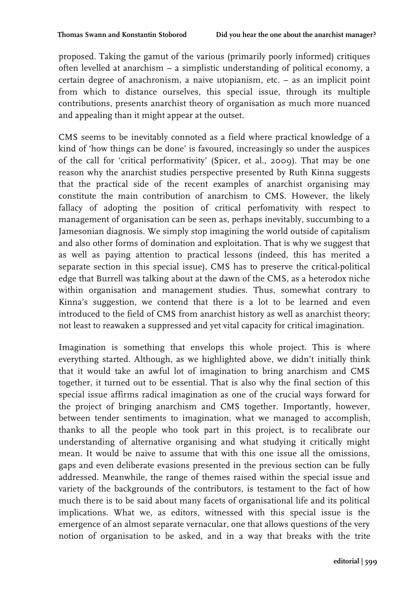proposed. Taking the gamut of the various (primarily poorly informed) critiques often levelled at anarchism – a simplistic understanding of political economy, a certain degree of anachronism, a naive utopianism, etc. – as an implicit point from which to distance ourselves, this special issue, through its multiple contributions, presents anarchist theory of organisation as much more nuanced and appealing than it might appear at the outset.

CMS seems to be inevitably connoted as a field where practical knowledge of a kind of 'how things can be done' is favoured, increasingly so under the auspices of the call for 'critical performativity' (Spicer, et al., 2009). That may be one reason why the anarchist studies perspective presented by Ruth Kinna suggests that the practical side of the recent examples of anarchist organising may constitute the main contribution of anarchism to CMS. However, the likely fallacy of adopting the position of critical perfomativity with respect to management of organisation can be seen as, perhaps inevitably, succumbing to a Jamesonian diagnosis. We simply stop imagining the world outside of capitalism and also other forms of domination and exploitation. That is why we suggest that as well as paying attention to practical lessons (indeed, this has merited a separate section in this special issue), CMS has to preserve the critical-political edge that Burrell was talking about at the dawn of the CMS, as a heterodox niche within organisation and management studies. Thus, somewhat contrary to Kinna's suggestion, we contend that there is a lot to be learned and even introduced to the field of CMS from anarchist history as well as anarchist theory; not least to reawaken a suppressed and yet vital capacity for critical imagination.

Imagination is something that envelops this whole project. This is where everything started. Although, as we highlighted above, we didn't initially think that it would take an awful lot of imagination to bring anarchism and CMS together, it turned out to be essential. That is also why the final section of this special issue affirms radical imagination as one of the crucial ways forward for the project of bringing anarchism and CMS together. Importantly, however, between tender sentiments to imagination, what we managed to accomplish, thanks to all the people who took part in this project, is to recalibrate our understanding of alternative organising and what studying it critically might mean. It would be naive to assume that with this one issue all the omissions, gaps and even deliberate evasions presented in the previous section can be fully addressed. Meanwhile, the range of themes raised within the special issue and variety of the backgrounds of the contributors, is testament to the fact of how much there is to be said about many facets of organisational life and its political implications. What we, as editors, witnessed with this special issue is the emergence of an almost separate vernacular, one that allows questions of the very notion of organisation to be asked, and in a way that breaks with the trite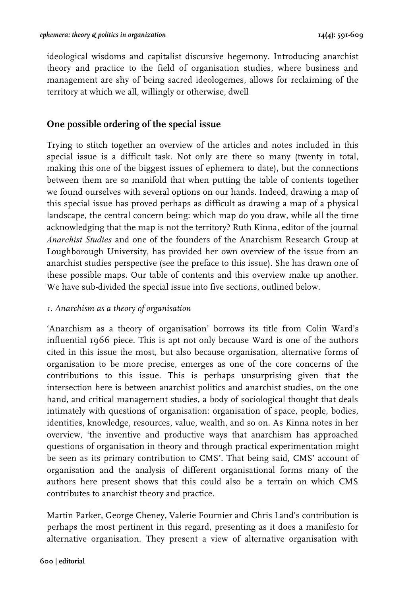ideological wisdoms and capitalist discursive hegemony. Introducing anarchist theory and practice to the field of organisation studies, where business and management are shy of being sacred ideologemes, allows for reclaiming of the territory at which we all, willingly or otherwise, dwell

# **One possible ordering of the special issue**

Trying to stitch together an overview of the articles and notes included in this special issue is a difficult task. Not only are there so many (twenty in total, making this one of the biggest issues of ephemera to date), but the connections between them are so manifold that when putting the table of contents together we found ourselves with several options on our hands. Indeed, drawing a map of this special issue has proved perhaps as difficult as drawing a map of a physical landscape, the central concern being: which map do you draw, while all the time acknowledging that the map is not the territory? Ruth Kinna, editor of the journal *Anarchist Studies* and one of the founders of the Anarchism Research Group at Loughborough University, has provided her own overview of the issue from an anarchist studies perspective (see the preface to this issue). She has drawn one of these possible maps. Our table of contents and this overview make up another. We have sub-divided the special issue into five sections, outlined below.

## *1. Anarchism as a theory of organisation*

'Anarchism as a theory of organisation' borrows its title from Colin Ward's influential 1966 piece. This is apt not only because Ward is one of the authors cited in this issue the most, but also because organisation, alternative forms of organisation to be more precise, emerges as one of the core concerns of the contributions to this issue. This is perhaps unsurprising given that the intersection here is between anarchist politics and anarchist studies, on the one hand, and critical management studies, a body of sociological thought that deals intimately with questions of organisation: organisation of space, people, bodies, identities, knowledge, resources, value, wealth, and so on. As Kinna notes in her overview, 'the inventive and productive ways that anarchism has approached questions of organisation in theory and through practical experimentation might be seen as its primary contribution to CMS'. That being said, CMS' account of organisation and the analysis of different organisational forms many of the authors here present shows that this could also be a terrain on which CMS contributes to anarchist theory and practice.

Martin Parker, George Cheney, Valerie Fournier and Chris Land's contribution is perhaps the most pertinent in this regard, presenting as it does a manifesto for alternative organisation. They present a view of alternative organisation with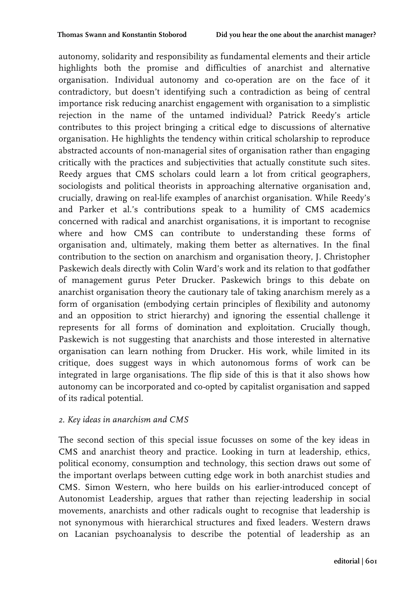autonomy, solidarity and responsibility as fundamental elements and their article highlights both the promise and difficulties of anarchist and alternative organisation. Individual autonomy and co-operation are on the face of it contradictory, but doesn't identifying such a contradiction as being of central importance risk reducing anarchist engagement with organisation to a simplistic rejection in the name of the untamed individual? Patrick Reedy's article contributes to this project bringing a critical edge to discussions of alternative organisation. He highlights the tendency within critical scholarship to reproduce abstracted accounts of non-managerial sites of organisation rather than engaging critically with the practices and subjectivities that actually constitute such sites. Reedy argues that CMS scholars could learn a lot from critical geographers, sociologists and political theorists in approaching alternative organisation and, crucially, drawing on real-life examples of anarchist organisation. While Reedy's and Parker et al.'s contributions speak to a humility of CMS academics concerned with radical and anarchist organisations, it is important to recognise where and how CMS can contribute to understanding these forms of organisation and, ultimately, making them better as alternatives. In the final contribution to the section on anarchism and organisation theory, J. Christopher Paskewich deals directly with Colin Ward's work and its relation to that godfather of management gurus Peter Drucker. Paskewich brings to this debate on anarchist organisation theory the cautionary tale of taking anarchism merely as a form of organisation (embodying certain principles of flexibility and autonomy and an opposition to strict hierarchy) and ignoring the essential challenge it represents for all forms of domination and exploitation. Crucially though, Paskewich is not suggesting that anarchists and those interested in alternative organisation can learn nothing from Drucker. His work, while limited in its critique, does suggest ways in which autonomous forms of work can be integrated in large organisations. The flip side of this is that it also shows how autonomy can be incorporated and co-opted by capitalist organisation and sapped of its radical potential.

#### *2. Key ideas in anarchism and CMS*

The second section of this special issue focusses on some of the key ideas in CMS and anarchist theory and practice. Looking in turn at leadership, ethics, political economy, consumption and technology, this section draws out some of the important overlaps between cutting edge work in both anarchist studies and CMS. Simon Western, who here builds on his earlier-introduced concept of Autonomist Leadership, argues that rather than rejecting leadership in social movements, anarchists and other radicals ought to recognise that leadership is not synonymous with hierarchical structures and fixed leaders. Western draws on Lacanian psychoanalysis to describe the potential of leadership as an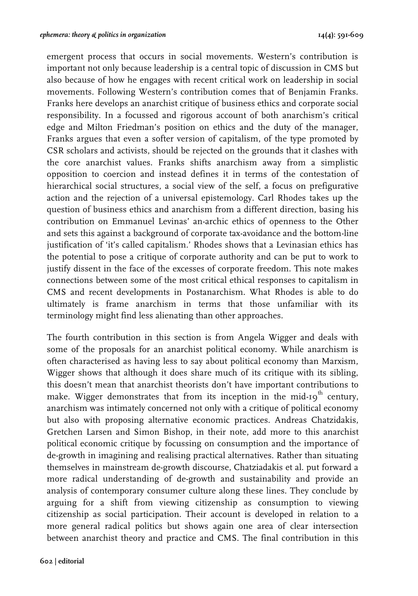emergent process that occurs in social movements. Western's contribution is important not only because leadership is a central topic of discussion in CMS but also because of how he engages with recent critical work on leadership in social movements. Following Western's contribution comes that of Benjamin Franks. Franks here develops an anarchist critique of business ethics and corporate social responsibility. In a focussed and rigorous account of both anarchism's critical edge and Milton Friedman's position on ethics and the duty of the manager, Franks argues that even a softer version of capitalism, of the type promoted by CSR scholars and activists, should be rejected on the grounds that it clashes with the core anarchist values. Franks shifts anarchism away from a simplistic opposition to coercion and instead defines it in terms of the contestation of hierarchical social structures, a social view of the self, a focus on prefigurative action and the rejection of a universal epistemology. Carl Rhodes takes up the question of business ethics and anarchism from a different direction, basing his contribution on Emmanuel Levinas' an-archic ethics of openness to the Other and sets this against a background of corporate tax-avoidance and the bottom-line justification of 'it's called capitalism.' Rhodes shows that a Levinasian ethics has the potential to pose a critique of corporate authority and can be put to work to justify dissent in the face of the excesses of corporate freedom. This note makes connections between some of the most critical ethical responses to capitalism in CMS and recent developments in Postanarchism. What Rhodes is able to do ultimately is frame anarchism in terms that those unfamiliar with its terminology might find less alienating than other approaches.

The fourth contribution in this section is from Angela Wigger and deals with some of the proposals for an anarchist political economy. While anarchism is often characterised as having less to say about political economy than Marxism, Wigger shows that although it does share much of its critique with its sibling, this doesn't mean that anarchist theorists don't have important contributions to make. Wigger demonstrates that from its inception in the mid-19 $^{\text{th}}$  century, anarchism was intimately concerned not only with a critique of political economy but also with proposing alternative economic practices. Andreas Chatzidakis, Gretchen Larsen and Simon Bishop, in their note, add more to this anarchist political economic critique by focussing on consumption and the importance of de-growth in imagining and realising practical alternatives. Rather than situating themselves in mainstream de-growth discourse, Chatziadakis et al. put forward a more radical understanding of de-growth and sustainability and provide an analysis of contemporary consumer culture along these lines. They conclude by arguing for a shift from viewing citizenship as consumption to viewing citizenship as social participation. Their account is developed in relation to a more general radical politics but shows again one area of clear intersection between anarchist theory and practice and CMS. The final contribution in this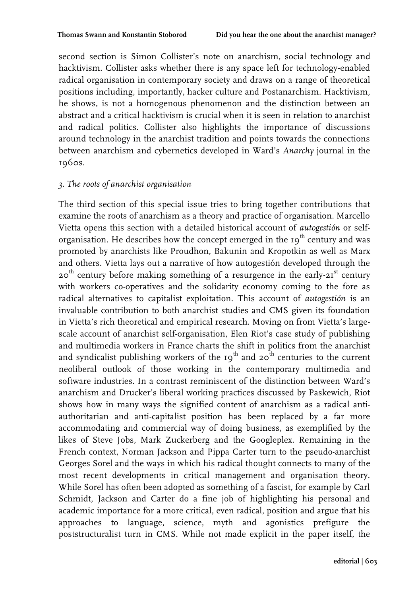second section is Simon Collister's note on anarchism, social technology and hacktivism. Collister asks whether there is any space left for technology-enabled radical organisation in contemporary society and draws on a range of theoretical positions including, importantly, hacker culture and Postanarchism. Hacktivism, he shows, is not a homogenous phenomenon and the distinction between an abstract and a critical hacktivism is crucial when it is seen in relation to anarchist and radical politics. Collister also highlights the importance of discussions around technology in the anarchist tradition and points towards the connections between anarchism and cybernetics developed in Ward's *Anarchy* journal in the 1960s.

#### *3. The roots of anarchist organisation*

The third section of this special issue tries to bring together contributions that examine the roots of anarchism as a theory and practice of organisation. Marcello Vietta opens this section with a detailed historical account of *autogestión* or selforganisation. He describes how the concept emerged in the  $19<sup>th</sup>$  century and was promoted by anarchists like Proudhon, Bakunin and Kropotkin as well as Marx and others. Vietta lays out a narrative of how autogestión developed through the 20<sup>th</sup> century before making something of a resurgence in the early-21<sup>st</sup> century with workers co-operatives and the solidarity economy coming to the fore as radical alternatives to capitalist exploitation. This account of *autogestión* is an invaluable contribution to both anarchist studies and CMS given its foundation in Vietta's rich theoretical and empirical research. Moving on from Vietta's largescale account of anarchist self-organisation, Elen Riot's case study of publishing and multimedia workers in France charts the shift in politics from the anarchist and syndicalist publishing workers of the  $19<sup>th</sup>$  and  $20<sup>th</sup>$  centuries to the current neoliberal outlook of those working in the contemporary multimedia and software industries. In a contrast reminiscent of the distinction between Ward's anarchism and Drucker's liberal working practices discussed by Paskewich, Riot shows how in many ways the signified content of anarchism as a radical antiauthoritarian and anti-capitalist position has been replaced by a far more accommodating and commercial way of doing business, as exemplified by the likes of Steve Jobs, Mark Zuckerberg and the Googleplex. Remaining in the French context, Norman Jackson and Pippa Carter turn to the pseudo-anarchist Georges Sorel and the ways in which his radical thought connects to many of the most recent developments in critical management and organisation theory. While Sorel has often been adopted as something of a fascist, for example by Carl Schmidt, Jackson and Carter do a fine job of highlighting his personal and academic importance for a more critical, even radical, position and argue that his approaches to language, science, myth and agonistics prefigure the poststructuralist turn in CMS. While not made explicit in the paper itself, the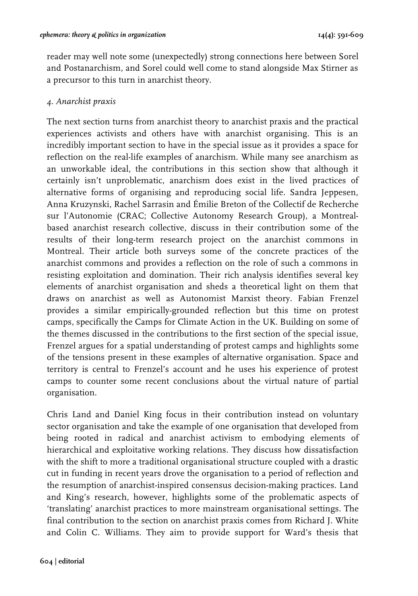reader may well note some (unexpectedly) strong connections here between Sorel and Postanarchism, and Sorel could well come to stand alongside Max Stirner as a precursor to this turn in anarchist theory.

#### *4. Anarchist praxis*

The next section turns from anarchist theory to anarchist praxis and the practical experiences activists and others have with anarchist organising. This is an incredibly important section to have in the special issue as it provides a space for reflection on the real-life examples of anarchism. While many see anarchism as an unworkable ideal, the contributions in this section show that although it certainly isn't unproblematic, anarchism does exist in the lived practices of alternative forms of organising and reproducing social life. Sandra Jeppesen, Anna Kruzynski, Rachel Sarrasin and Émilie Breton of the Collectif de Recherche sur l'Autonomie (CRAC; Collective Autonomy Research Group), a Montrealbased anarchist research collective, discuss in their contribution some of the results of their long-term research project on the anarchist commons in Montreal. Their article both surveys some of the concrete practices of the anarchist commons and provides a reflection on the role of such a commons in resisting exploitation and domination. Their rich analysis identifies several key elements of anarchist organisation and sheds a theoretical light on them that draws on anarchist as well as Autonomist Marxist theory. Fabian Frenzel provides a similar empirically-grounded reflection but this time on protest camps, specifically the Camps for Climate Action in the UK. Building on some of the themes discussed in the contributions to the first section of the special issue, Frenzel argues for a spatial understanding of protest camps and highlights some of the tensions present in these examples of alternative organisation. Space and territory is central to Frenzel's account and he uses his experience of protest camps to counter some recent conclusions about the virtual nature of partial organisation.

Chris Land and Daniel King focus in their contribution instead on voluntary sector organisation and take the example of one organisation that developed from being rooted in radical and anarchist activism to embodying elements of hierarchical and exploitative working relations. They discuss how dissatisfaction with the shift to more a traditional organisational structure coupled with a drastic cut in funding in recent years drove the organisation to a period of reflection and the resumption of anarchist-inspired consensus decision-making practices. Land and King's research, however, highlights some of the problematic aspects of 'translating' anarchist practices to more mainstream organisational settings. The final contribution to the section on anarchist praxis comes from Richard J. White and Colin C. Williams. They aim to provide support for Ward's thesis that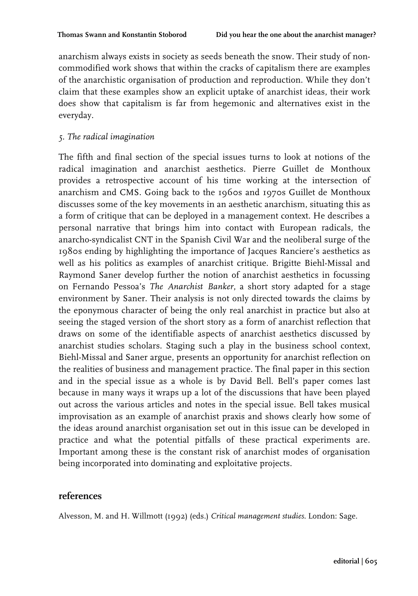anarchism always exists in society as seeds beneath the snow. Their study of noncommodified work shows that within the cracks of capitalism there are examples of the anarchistic organisation of production and reproduction. While they don't claim that these examples show an explicit uptake of anarchist ideas, their work does show that capitalism is far from hegemonic and alternatives exist in the everyday.

#### *5. The radical imagination*

The fifth and final section of the special issues turns to look at notions of the radical imagination and anarchist aesthetics. Pierre Guillet de Monthoux provides a retrospective account of his time working at the intersection of anarchism and CMS. Going back to the 1960s and 1970s Guillet de Monthoux discusses some of the key movements in an aesthetic anarchism, situating this as a form of critique that can be deployed in a management context. He describes a personal narrative that brings him into contact with European radicals, the anarcho-syndicalist CNT in the Spanish Civil War and the neoliberal surge of the 1980s ending by highlighting the importance of Jacques Ranciere's aesthetics as well as his politics as examples of anarchist critique. Brigitte Biehl-Missal and Raymond Saner develop further the notion of anarchist aesthetics in focussing on Fernando Pessoa's *The Anarchist Banker*, a short story adapted for a stage environment by Saner. Their analysis is not only directed towards the claims by the eponymous character of being the only real anarchist in practice but also at seeing the staged version of the short story as a form of anarchist reflection that draws on some of the identifiable aspects of anarchist aesthetics discussed by anarchist studies scholars. Staging such a play in the business school context, Biehl-Missal and Saner argue, presents an opportunity for anarchist reflection on the realities of business and management practice. The final paper in this section and in the special issue as a whole is by David Bell. Bell's paper comes last because in many ways it wraps up a lot of the discussions that have been played out across the various articles and notes in the special issue. Bell takes musical improvisation as an example of anarchist praxis and shows clearly how some of the ideas around anarchist organisation set out in this issue can be developed in practice and what the potential pitfalls of these practical experiments are. Important among these is the constant risk of anarchist modes of organisation being incorporated into dominating and exploitative projects.

## **references**

Alvesson, M. and H. Willmott (1992) (eds.) *Critical management studies*. London: Sage.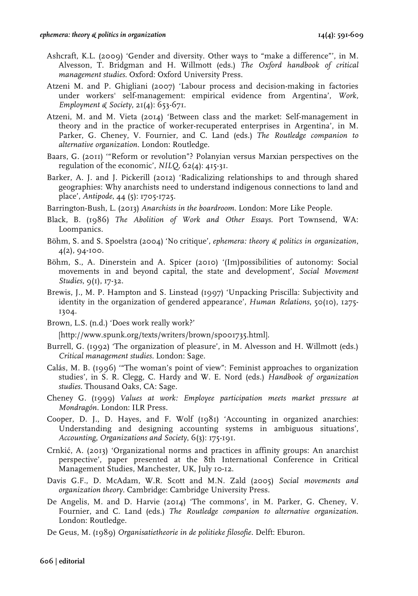- Ashcraft, K.L. (2009) 'Gender and diversity. Other ways to "make a difference"', in M. Alvesson, T. Bridgman and H. Willmott (eds.) *The Oxford handbook of critical management studies*. Oxford: Oxford University Press.
- Atzeni M. and P. Ghigliani (2007) 'Labour process and decision-making in factories under workers' self-management: empirical evidence from Argentina', *Work, Employment & Society*, 21(4): 653-671.
- Atzeni, M. and M. Vieta (2014) 'Between class and the market: Self-management in theory and in the practice of worker-recuperated enterprises in Argentina', in M. Parker, G. Cheney, V. Fournier, and C. Land (eds.) *The Routledge companion to alternative organization*. London: Routledge.
- Baars, G. (2011) '"Reform or revolution"? Polanyian versus Marxian perspectives on the regulation of the economic', *NILQ*, 62(4): 415-31.
- Barker, A. J. and J. Pickerill (2012) 'Radicalizing relationships to and through shared geographies: Why anarchists need to understand indigenous connections to land and place', *Antipode*, 44 (5): 1705-1725.
- Barrington-Bush, L. (2013) *Anarchists in the boardroom*. London: More Like People.
- Black, B. (1986) *The Abolition of Work and Other Essays*. Port Townsend, WA: Loompanics.
- Böhm, S. and S. Spoelstra (2004) 'No critique', *ephemera: theory & politics in organization*, 4(2), 94-100.
- Böhm, S., A. Dinerstein and A. Spicer (2010) '(Im)possibilities of autonomy: Social movements in and beyond capital, the state and development', *Social Movement Studies*, 9(1), 17-32.
- Brewis, J., M. P. Hampton and S. Linstead (1997) 'Unpacking Priscilla: Subjectivity and identity in the organization of gendered appearance', *Human Relations*, 50(10), 1275- 1304.
- Brown, L.S. (n.d.) 'Does work really work?'

[http://www.spunk.org/texts/writers/brown/sp001735.html].

- Burrell, G. (1992) 'The organization of pleasure', in M. Alvesson and H. Willmott (eds.) *Critical management studies*. London: Sage.
- Calás, M. B. (1996) '"The woman's point of view": Feminist approaches to organization studies', in S. R. Clegg, C. Hardy and W. E. Nord (eds.) *Handbook of organization studies*. Thousand Oaks, CA: Sage.
- Cheney G. (1999) *Values at work: Employee participation meets market pressure at Mondragón*. London: ILR Press.
- Cooper, D. J., D. Hayes, and F. Wolf (1981) 'Accounting in organized anarchies: Understanding and designing accounting systems in ambiguous situations', *Accounting, Organizations and Society*, 6(3): 175-191.
- Crnkić, A. (2013) 'Organizational norms and practices in affinity groups: An anarchist perspective', paper presented at the 8th International Conference in Critical Management Studies, Manchester, UK, July 10-12.
- Davis G.F., D. McAdam, W.R. Scott and M.N. Zald (2005) *Social movements and organization theory*. Cambridge: Cambridge University Press.
- De Angelis, M. and D. Harvie (2014) 'The commons', in M. Parker, G. Cheney, V. Fournier, and C. Land (eds.) *The Routledge companion to alternative organization*. London: Routledge.
- De Geus, M. (1989) *Organisatietheorie in de politieke filosofie*. Delft: Eburon.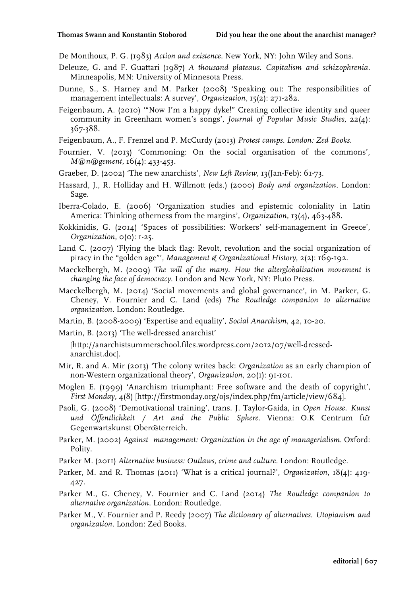De Monthoux, P. G. (1983) *Action and existence*. New York, NY: John Wiley and Sons.

- Deleuze, G. and F. Guattari (1987) *A thousand plateaus. Capitalism and schizophrenia*. Minneapolis, MN: University of Minnesota Press.
- Dunne, S., S. Harney and M. Parker (2008) 'Speaking out: The responsibilities of management intellectuals: A survey', *Organization*, 15(2): 271-282.
- Feigenbaum, A. (2010) '"Now I'm a happy dyke!" Creating collective identity and queer community in Greenham women's songs', *Journal of Popular Music Studies*, 22(4): 367-388.
- Feigenbaum, A., F. Frenzel and P. McCurdy (2013) *Protest camps. London: Zed Books*.
- Fournier, V. (2013) 'Commoning: On the social organisation of the commons', *M@n@gement*, 16(4): 433-453.
- Graeber, D. (2002) 'The new anarchists', *New Left Review*, 13(Jan-Feb): 61-73.
- Hassard, J., R. Holliday and H. Willmott (eds.) (2000) *Body and organization*. London: Sage.
- Iberra-Colado, E. (2006) 'Organization studies and epistemic coloniality in Latin America: Thinking otherness from the margins', *Organization*, 13(4), 463-488.
- Kokkinidis, G. (2014) 'Spaces of possibilities: Workers' self-management in Greece', *Organization*, 0(0): 1-25.
- Land C. (2007) 'Flying the black flag: Revolt, revolution and the social organization of piracy in the "golden age"', *Management & Organizational History*, 2(2): 169-192.
- Maeckelbergh, M. (2009) *The will of the many. How the alterglobalisation movement is changing the face of democracy*. London and New York, NY: Pluto Press.
- Maeckelbergh, M. (2014) 'Social movements and global governance', in M. Parker, G. Cheney, V. Fournier and C. Land (eds) *The Routledge companion to alternative organization*. London: Routledge.
- Martin, B. (2008-2009) 'Expertise and equality', *Social Anarchism*, 42, 10-20.
- Martin, B. (2013) 'The well-dressed anarchist'
	- [http://anarchistsummerschool.files.wordpress.com/2012/07/well-dressedanarchist.doc].
- Mir, R. and A. Mir (2013) 'The colony writes back: *Organization* as an early champion of non-Western organizational theory', *Organization*, 20(1): 91-101.
- Moglen E. (1999) 'Anarchism triumphant: Free software and the death of copyright', *First Monday*, 4(8) [http://firstmonday.org/ojs/index.php/fm/article/view/684].
- Paoli, G. (2008) 'Demotivational training', trans. J. Taylor-Gaida, in *Open House. Kunst und Öffentlichkeit / Art and the Public Sphere*. Vienna: O.K Centrum für Gegenwartskunst Oberösterreich.
- Parker, M. (2002) *Against management: Organization in the age of managerialism*. Oxford: Polity.
- Parker M. (2011) *Alternative business: Outlaws, crime and culture*. London: Routledge.
- Parker, M. and R. Thomas (2011) 'What is a critical journal?', *Organization*, 18(4): 419- 427.
- Parker M., G. Cheney, V. Fournier and C. Land (2014) *The Routledge companion to alternative organization*. London: Routledge.
- Parker M., V. Fournier and P. Reedy (2007) *The dictionary of alternatives. Utopianism and organization*. London: Zed Books.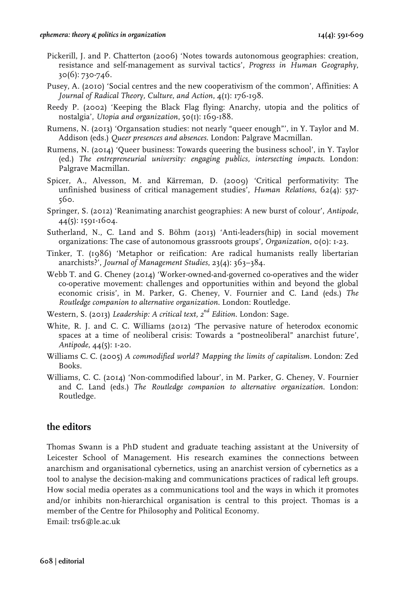- Pickerill, J. and P. Chatterton (2006) 'Notes towards autonomous geographies: creation, resistance and self-management as survival tactics', *Progress in Human Geography*, 30(6): 730-746.
- Pusey, A. (2010) 'Social centres and the new cooperativism of the common', Affinities: A *Journal of Radical Theory, Culture, and Action*, 4(1): 176-198.
- Reedy P. (2002) 'Keeping the Black Flag flying: Anarchy, utopia and the politics of nostalgia', *Utopia and organization*, 50(1): 169-188.
- Rumens, N. (2013) 'Organsation studies: not nearly "queer enough"', in Y. Taylor and M. Addison (eds.) *Queer presences and absences*. London: Palgrave Macmillan.
- Rumens, N. (2014) 'Queer business: Towards queering the business school', in Y. Taylor (ed.) *The entrepreneurial university: engaging publics, intersecting impacts*. London: Palgrave Macmillan.
- Spicer, A., Alvesson, M. and Kӓrreman, D. (2009) 'Critical performativity: The unfinished business of critical management studies', *Human Relations*, 62(4): 537- 560.
- Springer, S. (2012) 'Reanimating anarchist geographies: A new burst of colour', *Antipode*, 44(5): 1591-1604.
- Sutherland, N., C. Land and S. Böhm (2013) 'Anti-leaders(hip) in social movement organizations: The case of autonomous grassroots groups', *Organization*, 0(0): 1-23.
- Tinker, T. (1986) 'Metaphor or reification: Are radical humanists really libertarian anarchists?', *Journal of Management Studies*, 23(4): 363–384.
- Webb T. and G. Cheney (2014) 'Worker-owned-and-governed co-operatives and the wider co-operative movement: challenges and opportunities within and beyond the global economic crisis', in M. Parker, G. Cheney, V. Fournier and C. Land (eds.) *The Routledge companion to alternative organization*. London: Routledge.
- Western, S. (2013) *Leadership: A critical text, 2nd Edition*. London: Sage.
- White, R. J. and C. C. Williams (2012) 'The pervasive nature of heterodox economic spaces at a time of neoliberal crisis: Towards a "postneoliberal" anarchist future', *Antipode*, 44(5): 1-20.
- Williams C. C. (2005) *A commodified world? Mapping the limits of capitalism*. London: Zed Books.
- Williams, C. C. (2014) 'Non-commodified labour', in M. Parker, G. Cheney, V. Fournier and C. Land (eds.) *The Routledge companion to alternative organization*. London: Routledge.

## **the editors**

Thomas Swann is a PhD student and graduate teaching assistant at the University of Leicester School of Management. His research examines the connections between anarchism and organisational cybernetics, using an anarchist version of cybernetics as a tool to analyse the decision-making and communications practices of radical left groups. How social media operates as a communications tool and the ways in which it promotes and/or inhibits non-hierarchical organisation is central to this project. Thomas is a member of the Centre for Philosophy and Political Economy. Email: trs6@le.ac.uk